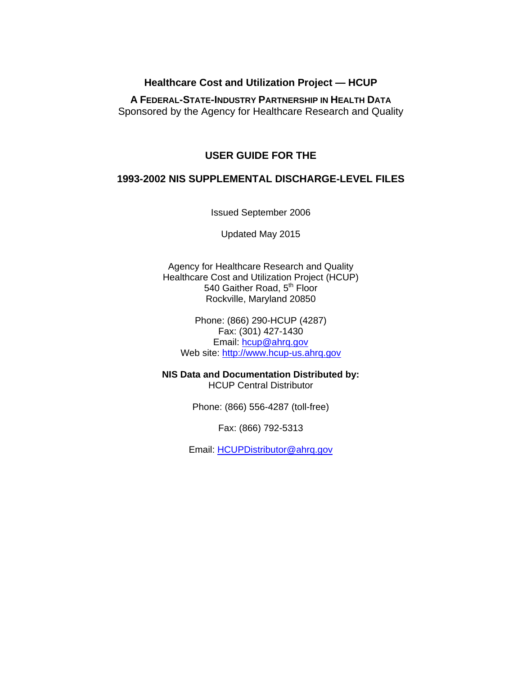## **Healthcare Cost and Utilization Project — HCUP**

**A FEDERAL-STATE-INDUSTRY PARTNERSHIP IN HEALTH DATA** Sponsored by the Agency for Healthcare Research and Quality

## **USER GUIDE FOR THE**

### **1993-2002 NIS SUPPLEMENTAL DISCHARGE-LEVEL FILES**

Issued September 2006

Updated May 2015

Agency for Healthcare Research and Quality Healthcare Cost and Utilization Project (HCUP) 540 Gaither Road, 5<sup>th</sup> Floor Rockville, Maryland 20850

Phone: (866) 290-HCUP (4287) Fax: (301) 427-1430 Email: [hcup@ahrq.gov](mailto:hcup@ahrq.gov) Web site: [http://www.hcup-us.ahrq.gov](http://www.hcup-us.ahrq.gov/)

**NIS Data and Documentation Distributed by:** HCUP Central Distributor

Phone: (866) 556-4287 (toll-free)

Fax: (866) 792-5313

Email: [HCUPDistributor@ahrq.gov](mailto:hcupdistributor@ahrq.gov)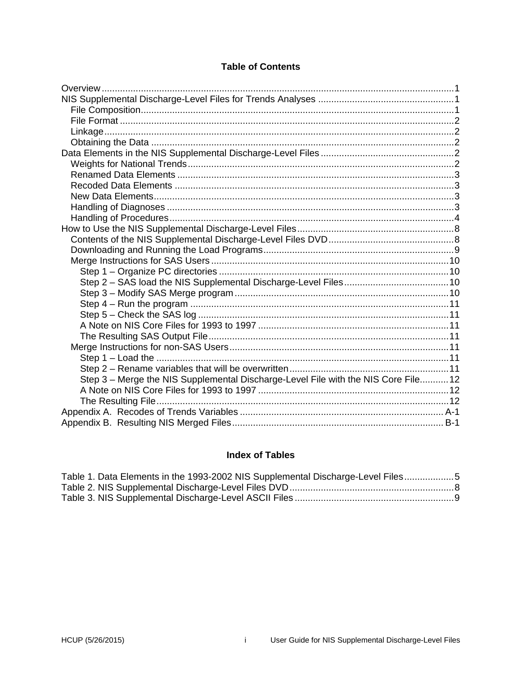## **Table of Contents**

| Step 3 - Merge the NIS Supplemental Discharge-Level File with the NIS Core File 12 |  |
|------------------------------------------------------------------------------------|--|
|                                                                                    |  |
|                                                                                    |  |
|                                                                                    |  |
|                                                                                    |  |

# **Index of Tables**

| Table 1. Data Elements in the 1993-2002 NIS Supplemental Discharge-Level Files5 |  |
|---------------------------------------------------------------------------------|--|
|                                                                                 |  |
|                                                                                 |  |

 $\mathbf{i}$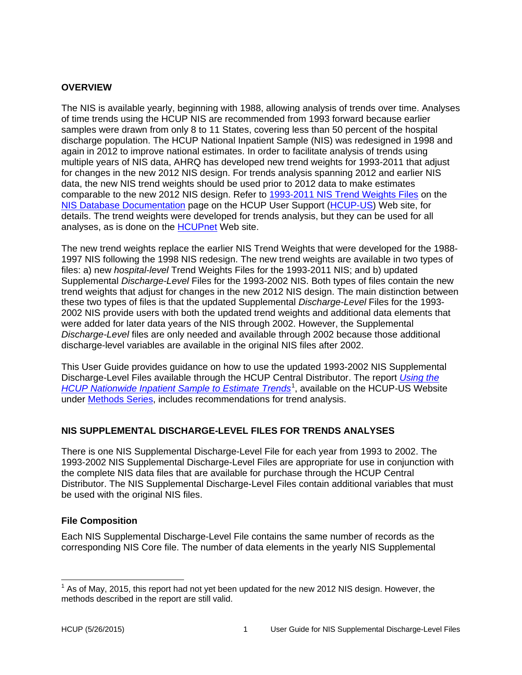### <span id="page-2-0"></span>**OVERVIEW**

The NIS is available yearly, beginning with 1988, allowing analysis of trends over time. Analyses of time trends using the HCUP NIS are recommended from 1993 forward because earlier samples were drawn from only 8 to 11 States, covering less than 50 percent of the hospital discharge population. The HCUP National Inpatient Sample (NIS) was redesigned in 1998 and again in 2012 to improve national estimates. In order to facilitate analysis of trends using multiple years of NIS data, AHRQ has developed new trend weights for 1993-2011 that adjust for changes in the new 2012 NIS design. For trends analysis spanning 2012 and earlier NIS data, the new NIS trend weights should be used prior to 2012 data to make estimates comparable to the new 2012 NIS design. Refer to [1993-2011 NIS Trend Weights Files](http://www.hcup-us.ahrq.gov/db/nation/nis/trendwghts.jsp) on the [NIS Database Documentation](http://www.hcup-us.ahrq.gov/db/nation/nis/nisdbdocumentation.jsp) page on the HCUP User Support [\(HCUP-US\)](https://www.hcup-us.ahrq.gov/) Web site, for details. The trend weights were developed for trends analysis, but they can be used for all analyses, as is done on the [HCUPnet](http://hcupnet.ahrq.gov/HCUPnet.jsp) Web site.

The new trend weights replace the earlier NIS Trend Weights that were developed for the 1988- 1997 NIS following the 1998 NIS redesign. The new trend weights are available in two types of files: a) new *hospital-level* Trend Weights Files for the 1993-2011 NIS; and b) updated Supplemental *Discharge-Level* Files for the 1993-2002 NIS. Both types of files contain the new trend weights that adjust for changes in the new 2012 NIS design. The main distinction between these two types of files is that the updated Supplemental *Discharge-Level* Files for the 1993- 2002 NIS provide users with both the updated trend weights and additional data elements that were added for later data years of the NIS through 2002. However, the Supplemental *Discharge-Level* files are only needed and available through 2002 because those additional discharge-level variables are available in the original NIS files after 2002.

This User Guide provides guidance on how to use the updated 1993-2002 NIS Supplemental Discharge-Level Files available through the HCUP Central Distributor. The report *[Using the](https://www.hcup-us.ahrq.gov/reports/methods/2006_05_NISTrendsReport_1988-2004.pdf)*  [HCUP Nationwide Inpatient Sample to Estimate Trends](https://www.hcup-us.ahrq.gov/reports/methods/2006_05_NISTrendsReport_1988-2004.pdf)<sup>[1](#page-2-3)</sup>, available on the HCUP-US Website under [Methods Series,](https://www.hcup-us.ahrq.gov/reports/methods/methods.jsp) includes recommendations for trend analysis.

### <span id="page-2-1"></span>**NIS SUPPLEMENTAL DISCHARGE-LEVEL FILES FOR TRENDS ANALYSES**

There is one NIS Supplemental Discharge-Level File for each year from 1993 to 2002. The 1993-2002 NIS Supplemental Discharge-Level Files are appropriate for use in conjunction with the complete NIS data files that are available for purchase through the HCUP Central Distributor. The NIS Supplemental Discharge-Level Files contain additional variables that must be used with the original NIS files.

### <span id="page-2-2"></span>**File Composition**

Each NIS Supplemental Discharge-Level File contains the same number of records as the corresponding NIS Core file. The number of data elements in the yearly NIS Supplemental

<span id="page-2-3"></span> $<sup>1</sup>$  As of May, 2015, this report had not yet been updated for the new 2012 NIS design. However, the</sup> methods described in the report are still valid.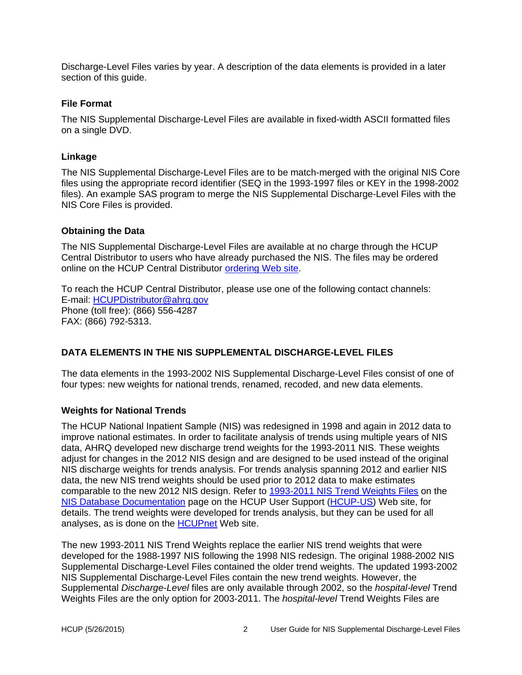Discharge-Level Files varies by year. A description of the data elements is provided in a later section of this guide.

### <span id="page-3-0"></span>**File Format**

The NIS Supplemental Discharge-Level Files are available in fixed-width ASCII formatted files on a single DVD.

### <span id="page-3-1"></span>**Linkage**

The NIS Supplemental Discharge-Level Files are to be match-merged with the original NIS Core files using the appropriate record identifier (SEQ in the 1993-1997 files or KEY in the 1998-2002 files). An example SAS program to merge the NIS Supplemental Discharge-Level Files with the NIS Core Files is provided.

### <span id="page-3-2"></span>**Obtaining the Data**

The NIS Supplemental Discharge-Level Files are available at no charge through the HCUP Central Distributor to users who have already purchased the NIS. The files may be ordered online on the HCUP Central Distributor [ordering Web site.](https://distributor.hcup-us.ahrq.gov/)

To reach the HCUP Central Distributor, please use one of the following contact channels: E-mail: [HCUPDistributor@ahrq.gov](mailto:hcupdistributor@ahrq.gov) Phone (toll free): (866) 556-4287 FAX: (866) 792-5313.

### <span id="page-3-3"></span>**DATA ELEMENTS IN THE NIS SUPPLEMENTAL DISCHARGE-LEVEL FILES**

The data elements in the 1993-2002 NIS Supplemental Discharge-Level Files consist of one of four types: new weights for national trends, renamed, recoded, and new data elements.

### <span id="page-3-4"></span>**Weights for National Trends**

The HCUP National Inpatient Sample (NIS) was redesigned in 1998 and again in 2012 data to improve national estimates. In order to facilitate analysis of trends using multiple years of NIS data, AHRQ developed new discharge trend weights for the 1993-2011 NIS. These weights adjust for changes in the 2012 NIS design and are designed to be used instead of the original NIS discharge weights for trends analysis. For trends analysis spanning 2012 and earlier NIS data, the new NIS trend weights should be used prior to 2012 data to make estimates comparable to the new 2012 NIS design. Refer to [1993-2011 NIS Trend Weights Files](http://www.hcup-us.ahrq.gov/db/nation/nis/trendwghts.jsp) on the [NIS Database Documentation](http://www.hcup-us.ahrq.gov/db/nation/nis/nisdbdocumentation.jsp) page on the HCUP User Support [\(HCUP-US\)](https://www.hcup-us.ahrq.gov/) Web site, for details. The trend weights were developed for trends analysis, but they can be used for all analyses, as is done on the [HCUPnet](http://hcupnet.ahrq.gov/HCUPnet.jsp) Web site.

The new 1993-2011 NIS Trend Weights replace the earlier NIS trend weights that were developed for the 1988-1997 NIS following the 1998 NIS redesign. The original 1988-2002 NIS Supplemental Discharge-Level Files contained the older trend weights. The updated 1993-2002 NIS Supplemental Discharge-Level Files contain the new trend weights. However, the Supplemental *Discharge-Level* files are only available through 2002, so the *hospital-level* Trend Weights Files are the only option for 2003-2011. The *hospital-level* Trend Weights Files are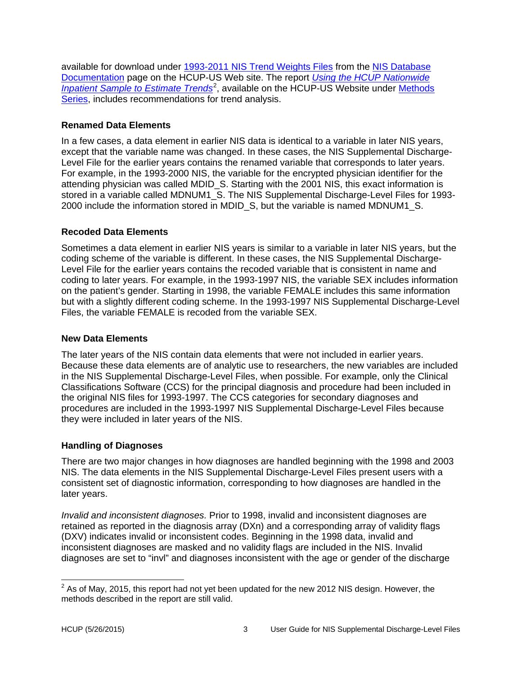available for download under [1993-2011 NIS Trend Weights Files](http://www.hcup-us.ahrq.gov/db/nation/nis/trendwghts.jsp) from the [NIS Database](http://www.hcup-us.ahrq.gov/db/nation/nis/nisdbdocumentation.jsp)  [Documentation](http://www.hcup-us.ahrq.gov/db/nation/nis/nisdbdocumentation.jsp) page on the HCUP-US Web site. The report *[Using the HCUP Nationwide](https://www.hcup-us.ahrq.gov/reports/methods/2006_05_NISTrendsReport_1988-2004.pdf)  [Inpatient Sample to Estimate Trends](https://www.hcup-us.ahrq.gov/reports/methods/2006_05_NISTrendsReport_1988-2004.pdf)<sup>[2](#page-4-4)</sup>*, available on the HCUP-US Website under Methods [Series,](https://www.hcup-us.ahrq.gov/reports/methods/methods.jsp) includes recommendations for trend analysis.

## <span id="page-4-0"></span>**Renamed Data Elements**

In a few cases, a data element in earlier NIS data is identical to a variable in later NIS years, except that the variable name was changed. In these cases, the NIS Supplemental Discharge-Level File for the earlier years contains the renamed variable that corresponds to later years. For example, in the 1993-2000 NIS, the variable for the encrypted physician identifier for the attending physician was called MDID S. Starting with the 2001 NIS, this exact information is stored in a variable called MDNUM1\_S. The NIS Supplemental Discharge-Level Files for 1993- 2000 include the information stored in MDID\_S, but the variable is named MDNUM1\_S.

## <span id="page-4-1"></span>**Recoded Data Elements**

Sometimes a data element in earlier NIS years is similar to a variable in later NIS years, but the coding scheme of the variable is different. In these cases, the NIS Supplemental Discharge-Level File for the earlier years contains the recoded variable that is consistent in name and coding to later years. For example, in the 1993-1997 NIS, the variable SEX includes information on the patient's gender. Starting in 1998, the variable FEMALE includes this same information but with a slightly different coding scheme. In the 1993-1997 NIS Supplemental Discharge-Level Files, the variable FEMALE is recoded from the variable SEX.

### <span id="page-4-2"></span>**New Data Elements**

The later years of the NIS contain data elements that were not included in earlier years. Because these data elements are of analytic use to researchers, the new variables are included in the NIS Supplemental Discharge-Level Files, when possible. For example, only the Clinical Classifications Software (CCS) for the principal diagnosis and procedure had been included in the original NIS files for 1993-1997. The CCS categories for secondary diagnoses and procedures are included in the 1993-1997 NIS Supplemental Discharge-Level Files because they were included in later years of the NIS.

## <span id="page-4-3"></span>**Handling of Diagnoses**

There are two major changes in how diagnoses are handled beginning with the 1998 and 2003 NIS. The data elements in the NIS Supplemental Discharge-Level Files present users with a consistent set of diagnostic information, corresponding to how diagnoses are handled in the later years.

*Invalid and inconsistent diagnoses.* Prior to 1998, invalid and inconsistent diagnoses are retained as reported in the diagnosis array (DXn) and a corresponding array of validity flags (DXV) indicates invalid or inconsistent codes. Beginning in the 1998 data, invalid and inconsistent diagnoses are masked and no validity flags are included in the NIS. Invalid diagnoses are set to "invl" and diagnoses inconsistent with the age or gender of the discharge

<span id="page-4-4"></span> $2^{2}$  As of May, 2015, this report had not yet been updated for the new 2012 NIS design. However, the methods described in the report are still valid.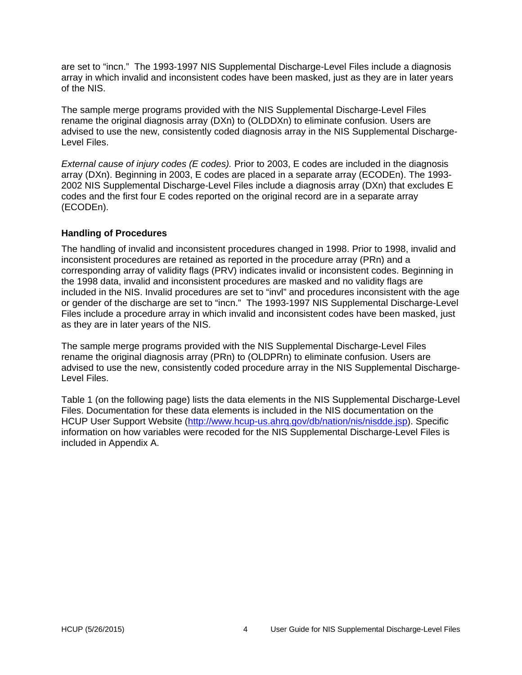are set to "incn." The 1993-1997 NIS Supplemental Discharge-Level Files include a diagnosis array in which invalid and inconsistent codes have been masked, just as they are in later years of the NIS.

The sample merge programs provided with the NIS Supplemental Discharge-Level Files rename the original diagnosis array (DXn) to (OLDDXn) to eliminate confusion. Users are advised to use the new, consistently coded diagnosis array in the NIS Supplemental Discharge-Level Files.

*External cause of injury codes (E codes).* Prior to 2003, E codes are included in the diagnosis array (DXn). Beginning in 2003, E codes are placed in a separate array (ECODEn). The 1993- 2002 NIS Supplemental Discharge-Level Files include a diagnosis array (DXn) that excludes E codes and the first four E codes reported on the original record are in a separate array (ECODEn).

### <span id="page-5-0"></span>**Handling of Procedures**

The handling of invalid and inconsistent procedures changed in 1998. Prior to 1998, invalid and inconsistent procedures are retained as reported in the procedure array (PRn) and a corresponding array of validity flags (PRV) indicates invalid or inconsistent codes. Beginning in the 1998 data, invalid and inconsistent procedures are masked and no validity flags are included in the NIS. Invalid procedures are set to "invl" and procedures inconsistent with the age or gender of the discharge are set to "incn." The 1993-1997 NIS Supplemental Discharge-Level Files include a procedure array in which invalid and inconsistent codes have been masked, just as they are in later years of the NIS.

The sample merge programs provided with the NIS Supplemental Discharge-Level Files rename the original diagnosis array (PRn) to (OLDPRn) to eliminate confusion. Users are advised to use the new, consistently coded procedure array in the NIS Supplemental Discharge-Level Files.

Table 1 (on the following page) lists the data elements in the NIS Supplemental Discharge-Level Files. Documentation for these data elements is included in the NIS documentation on the HCUP User Support Website [\(http://www.hcup-us.ahrq.gov/db/nation/nis/nisdde.jsp\)](http://www.hcup-us.ahrq.gov/db/nation/nis/nisdde.jsp). Specific information on how variables were recoded for the NIS Supplemental Discharge-Level Files is included in Appendix A.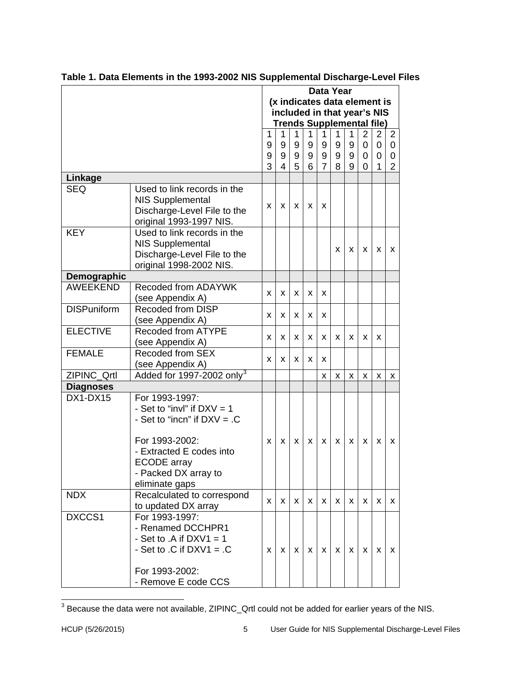|                    |                                       |                             | <b>Data Year</b> |                              |          |                                  |          |                  |                |                |                |  |
|--------------------|---------------------------------------|-----------------------------|------------------|------------------------------|----------|----------------------------------|----------|------------------|----------------|----------------|----------------|--|
|                    |                                       |                             |                  | (x indicates data element is |          |                                  |          |                  |                |                |                |  |
|                    |                                       | included in that year's NIS |                  |                              |          |                                  |          |                  |                |                |                |  |
|                    |                                       |                             |                  |                              |          | <b>Trends Supplemental file)</b> |          |                  |                |                |                |  |
|                    |                                       | 1                           | 1                | 1                            | 1        | 1                                | 1        | 1                | $\overline{2}$ | $\overline{2}$ | $\overline{2}$ |  |
|                    |                                       | 9                           | 9                | 9                            | 9        | 9                                | 9        | $\boldsymbol{9}$ | $\mathbf 0$    | $\mathbf 0$    | $\overline{0}$ |  |
|                    |                                       | 9                           | 9                | 9                            | 9        | 9                                | 9        | $9\,$            | $\mathbf 0$    | $\mathbf 0$    | 0              |  |
|                    |                                       | 3                           | $\overline{4}$   | 5                            | 6        | $\overline{7}$                   | 8        | 9                | 0              | 1              | 2              |  |
| Linkage            |                                       |                             |                  |                              |          |                                  |          |                  |                |                |                |  |
| <b>SEQ</b>         | Used to link records in the           |                             |                  |                              |          |                                  |          |                  |                |                |                |  |
|                    | <b>NIS Supplemental</b>               |                             |                  |                              |          |                                  |          |                  |                |                |                |  |
|                    | Discharge-Level File to the           | X.                          | $\mathsf{X}$     | X                            | X        | X                                |          |                  |                |                |                |  |
|                    | original 1993-1997 NIS.               |                             |                  |                              |          |                                  |          |                  |                |                |                |  |
| <b>KEY</b>         | Used to link records in the           |                             |                  |                              |          |                                  |          |                  |                |                |                |  |
|                    | <b>NIS Supplemental</b>               |                             |                  |                              |          |                                  |          |                  |                |                |                |  |
|                    | Discharge-Level File to the           |                             |                  |                              |          |                                  | x        | X                | x              | x              | x              |  |
|                    | original 1998-2002 NIS.               |                             |                  |                              |          |                                  |          |                  |                |                |                |  |
| Demographic        |                                       |                             |                  |                              |          |                                  |          |                  |                |                |                |  |
| <b>AWEEKEND</b>    | Recoded from ADAYWK                   | x                           | X                | X                            | X        | X                                |          |                  |                |                |                |  |
|                    | (see Appendix A)                      |                             |                  |                              |          |                                  |          |                  |                |                |                |  |
| <b>DISPuniform</b> | <b>Recoded from DISP</b>              | x                           | X                | X                            | X        | X                                |          |                  |                |                |                |  |
|                    | (see Appendix A)                      |                             |                  |                              |          |                                  |          |                  |                |                |                |  |
| <b>ELECTIVE</b>    | <b>Recoded from ATYPE</b>             | x                           | x                | x                            | x        | x                                | x        | X                | X              | X              |                |  |
|                    | (see Appendix A)                      |                             |                  |                              |          |                                  |          |                  |                |                |                |  |
| <b>FEMALE</b>      | Recoded from SEX                      | x                           | x                | X                            | X        | X                                |          |                  |                |                |                |  |
|                    | (see Appendix A)                      |                             |                  |                              |          |                                  |          |                  |                |                |                |  |
| ZIPINC_Qrtl        | Added for 1997-2002 only <sup>3</sup> |                             |                  |                              |          | X.                               | X        | X                | X              | X              | X              |  |
| <b>Diagnoses</b>   |                                       |                             |                  |                              |          |                                  |          |                  |                |                |                |  |
| DX1-DX15           | For 1993-1997:                        |                             |                  |                              |          |                                  |          |                  |                |                |                |  |
|                    | - Set to "invl" if $DXV = 1$          |                             |                  |                              |          |                                  |          |                  |                |                |                |  |
|                    | - Set to "incn" if $DXV = .C$         |                             |                  |                              |          |                                  |          |                  |                |                |                |  |
|                    |                                       |                             |                  |                              |          |                                  |          |                  |                |                |                |  |
|                    | For 1993-2002:                        | x                           | x                | X                            | X        | x                                | X        | X                | X              | X              | x              |  |
|                    | - Extracted E codes into              |                             |                  |                              |          |                                  |          |                  |                |                |                |  |
|                    | <b>ECODE</b> array                    |                             |                  |                              |          |                                  |          |                  |                |                |                |  |
|                    | - Packed DX array to                  |                             |                  |                              |          |                                  |          |                  |                |                |                |  |
|                    | eliminate gaps                        |                             |                  |                              |          |                                  |          |                  |                |                |                |  |
| <b>NDX</b>         | Recalculated to correspond            | X                           | X.               | $\times$                     | $\times$ | X                                | <b>X</b> | X                | X              | x              | X              |  |
|                    | to updated DX array                   |                             |                  |                              |          |                                  |          |                  |                |                |                |  |
| DXCCS1             | For 1993-1997:                        |                             |                  |                              |          |                                  |          |                  |                |                |                |  |
|                    | - Renamed DCCHPR1                     |                             |                  |                              |          |                                  |          |                  |                |                |                |  |
|                    | - Set to $.A$ if $DXV1 = 1$           |                             |                  |                              |          |                                  |          |                  |                |                |                |  |
|                    | - Set to $.C$ if DXV1 = $.C$          | x                           | X                | X                            | X.       | x                                | X.       | x                | X              | x              | x              |  |
|                    |                                       |                             |                  |                              |          |                                  |          |                  |                |                |                |  |
|                    | For 1993-2002:                        |                             |                  |                              |          |                                  |          |                  |                |                |                |  |
|                    | - Remove E code CCS                   |                             |                  |                              |          |                                  |          |                  |                |                |                |  |

<span id="page-6-0"></span>

|  | Table 1. Data Elements in the 1993-2002 NIS Supplemental Discharge-Level Files |
|--|--------------------------------------------------------------------------------|
|--|--------------------------------------------------------------------------------|

<span id="page-6-1"></span><sup>3</sup> Because the data were not available, ZIPINC\_Qrtl could not be added for earlier years of the NIS.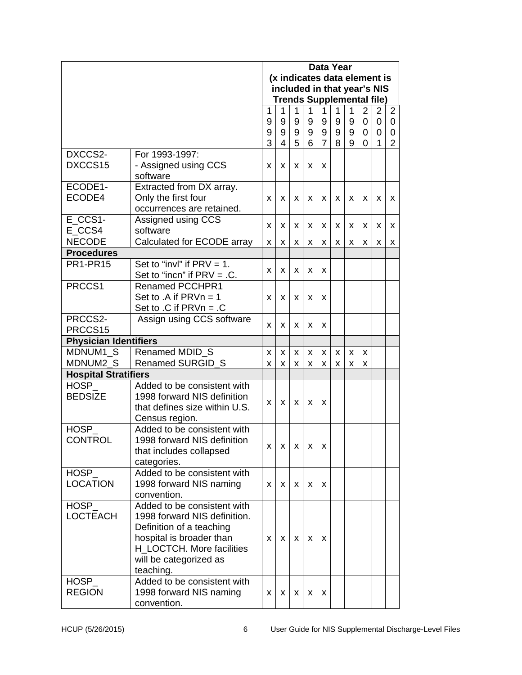|                                                 |                                                                                                                                                                                         |             |             | <b>Data Year</b><br>(x indicates data element is<br>included in that year's NIS |             |                |             |                                  |             |                          |                          |  |
|-------------------------------------------------|-----------------------------------------------------------------------------------------------------------------------------------------------------------------------------------------|-------------|-------------|---------------------------------------------------------------------------------|-------------|----------------|-------------|----------------------------------|-------------|--------------------------|--------------------------|--|
|                                                 |                                                                                                                                                                                         |             |             |                                                                                 |             |                |             | <b>Trends Supplemental file)</b> |             |                          |                          |  |
|                                                 |                                                                                                                                                                                         | 1<br>9<br>9 | 1<br>9<br>9 | 1<br>9<br>9                                                                     | 1<br>9<br>9 | 1<br>9<br>9    | 1<br>9<br>9 | 1<br>9<br>9                      | 2<br>0<br>0 | $\overline{2}$<br>0<br>0 | $\overline{2}$<br>0<br>0 |  |
|                                                 |                                                                                                                                                                                         | 3           | 4           | 5                                                                               | 6           | $\overline{7}$ | 8           | 9                                | 0           | 1                        | $\overline{2}$           |  |
| DXCCS2-<br>DXCCS15                              | For 1993-1997:<br>- Assigned using CCS<br>software                                                                                                                                      |             | X           | x                                                                               | X           | X              |             |                                  |             |                          |                          |  |
| ECODE1-<br>ECODE4                               | Extracted from DX array.<br>Only the first four<br>occurrences are retained.                                                                                                            | X           | X           | X                                                                               | X           | X              | X           | X                                | X           | x                        | x                        |  |
| E CCS1-<br>E CCS4                               | Assigned using CCS<br>software                                                                                                                                                          | x           | X           | X                                                                               | X           | X              | X           | x                                | x           | X                        | x                        |  |
| <b>NECODE</b>                                   | Calculated for ECODE array                                                                                                                                                              | X           | X           | X                                                                               | x           | x              | x           | X                                | x           | х                        | x                        |  |
| <b>Procedures</b>                               |                                                                                                                                                                                         |             |             |                                                                                 |             |                |             |                                  |             |                          |                          |  |
| <b>PR1-PR15</b>                                 | Set to "invl" if $PRV = 1$ .<br>Set to "incn" if $PRV = .C$ .                                                                                                                           | X<br>X      |             | X                                                                               | X           | X              |             |                                  |             |                          |                          |  |
| PRCCS1                                          | Renamed PCCHPR1<br>Set to .A if $PRVn = 1$<br>Set to $.C$ if $PRVn = .C$                                                                                                                | x           | X           | X                                                                               | X           | x              |             |                                  |             |                          |                          |  |
| PRCCS2-<br>Assign using CCS software<br>PRCCS15 |                                                                                                                                                                                         | X           | X           | X                                                                               | X           | x              |             |                                  |             |                          |                          |  |
| <b>Physician Identifiers</b>                    |                                                                                                                                                                                         |             |             |                                                                                 |             |                |             |                                  |             |                          |                          |  |
| MDNUM1 S                                        | Renamed MDID S                                                                                                                                                                          | X           | X           | X.                                                                              | X           | X              | X           | X                                | X           |                          |                          |  |
| MDNUM2_S                                        | Renamed SURGID_S                                                                                                                                                                        | X           | X           | X                                                                               | X           | X              | X           | X                                | X           |                          |                          |  |
| <b>Hospital Stratifiers</b>                     |                                                                                                                                                                                         |             |             |                                                                                 |             |                |             |                                  |             |                          |                          |  |
| <b>HOSP</b><br><b>BEDSIZE</b>                   | Added to be consistent with<br>1998 forward NIS definition<br>that defines size within U.S.<br>Census region.                                                                           | X           | X           | X                                                                               | X           | x              |             |                                  |             |                          |                          |  |
| <b>HOSP</b><br><b>CONTROL</b>                   | Added to be consistent with<br>1998 forward NIS definition<br>that includes collapsed<br>categories.                                                                                    | X           | X           | X                                                                               | X           | x              |             |                                  |             |                          |                          |  |
| <b>HOSP</b><br><b>LOCATION</b>                  | Added to be consistent with<br>1998 forward NIS naming<br>convention.                                                                                                                   | X           | X           | X                                                                               | X           | x              |             |                                  |             |                          |                          |  |
| HOSP_<br><b>LOCTEACH</b>                        | Added to be consistent with<br>1998 forward NIS definition.<br>Definition of a teaching<br>hospital is broader than<br>H LOCTCH. More facilities<br>will be categorized as<br>teaching. | X           | X           | x                                                                               | X           | x              |             |                                  |             |                          |                          |  |
| <b>HOSP</b><br><b>REGION</b>                    | Added to be consistent with<br>1998 forward NIS naming<br>convention.                                                                                                                   | X           | X           | X                                                                               | X           | X              |             |                                  |             |                          |                          |  |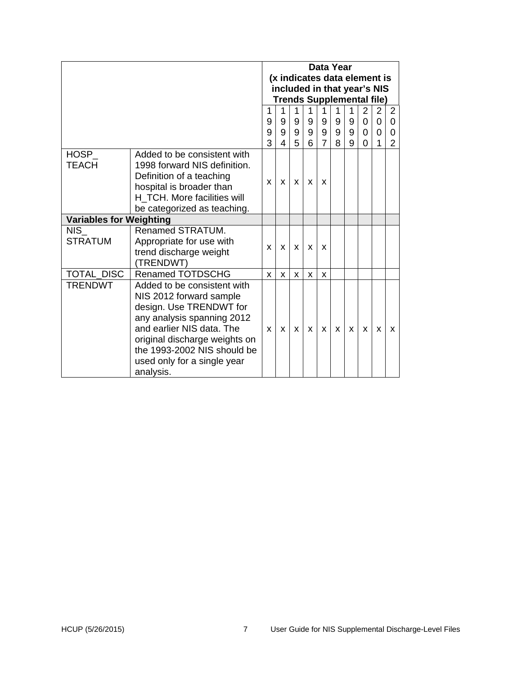|                                                                                                                                                                                                           |                                                                                                                                                                                                                                                          |   |   |   |   | Data Year      |   |   |          | (x indicates data element is<br>included in that year's NIS<br><b>Trends Supplemental file)</b> |                |
|-----------------------------------------------------------------------------------------------------------------------------------------------------------------------------------------------------------|----------------------------------------------------------------------------------------------------------------------------------------------------------------------------------------------------------------------------------------------------------|---|---|---|---|----------------|---|---|----------|-------------------------------------------------------------------------------------------------|----------------|
|                                                                                                                                                                                                           |                                                                                                                                                                                                                                                          | 1 | 1 | 1 | 1 | 1              | 1 | 1 | 2        | $\overline{2}$                                                                                  | $\overline{2}$ |
|                                                                                                                                                                                                           |                                                                                                                                                                                                                                                          | 9 | 9 | 9 | 9 | 9              | 9 | 9 | 0        | $\overline{0}$                                                                                  | $\Omega$       |
|                                                                                                                                                                                                           |                                                                                                                                                                                                                                                          | 9 | 9 | 9 | 9 | 9              | 9 | 9 | $\Omega$ | $\overline{0}$                                                                                  | $\Omega$       |
|                                                                                                                                                                                                           |                                                                                                                                                                                                                                                          | 3 | 4 | 5 | 6 | $\overline{7}$ | 8 | 9 | 0        | 1                                                                                               | $\overline{2}$ |
| HOSP<br>Added to be consistent with<br><b>TEACH</b><br>1998 forward NIS definition.<br>Definition of a teaching<br>hospital is broader than<br>H TCH. More facilities will<br>be categorized as teaching. |                                                                                                                                                                                                                                                          | X | X | X | X | X              |   |   |          |                                                                                                 |                |
| <b>Variables for Weighting</b>                                                                                                                                                                            |                                                                                                                                                                                                                                                          |   |   |   |   |                |   |   |          |                                                                                                 |                |
| <b>NIS</b><br><b>STRATUM</b>                                                                                                                                                                              | Renamed STRATUM.<br>Appropriate for use with<br>trend discharge weight<br>(TRENDWT)                                                                                                                                                                      | X | X | X | X | X              |   |   |          |                                                                                                 |                |
| <b>TOTAL DISC</b>                                                                                                                                                                                         | <b>Renamed TOTDSCHG</b>                                                                                                                                                                                                                                  | X | X | X | X | X              |   |   |          |                                                                                                 |                |
| <b>TRENDWT</b>                                                                                                                                                                                            | Added to be consistent with<br>NIS 2012 forward sample<br>design. Use TRENDWT for<br>any analysis spanning 2012<br>and earlier NIS data. The<br>original discharge weights on<br>the 1993-2002 NIS should be<br>used only for a single year<br>analysis. | X | X | X | X | X              | X | X | X        | X                                                                                               | X              |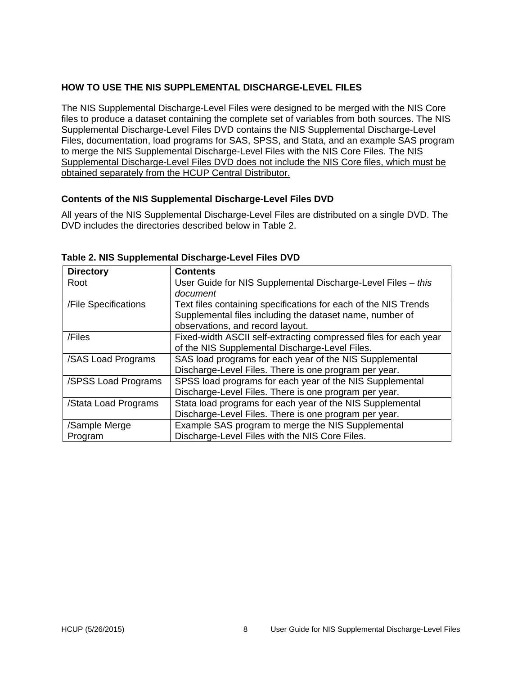## <span id="page-9-0"></span>**HOW TO USE THE NIS SUPPLEMENTAL DISCHARGE-LEVEL FILES**

The NIS Supplemental Discharge-Level Files were designed to be merged with the NIS Core files to produce a dataset containing the complete set of variables from both sources. The NIS Supplemental Discharge-Level Files DVD contains the NIS Supplemental Discharge-Level Files, documentation, load programs for SAS, SPSS, and Stata, and an example SAS program to merge the NIS Supplemental Discharge-Level Files with the NIS Core Files. The NIS Supplemental Discharge-Level Files DVD does not include the NIS Core files, which must be obtained separately from the HCUP Central Distributor.

## <span id="page-9-1"></span>**Contents of the NIS Supplemental Discharge-Level Files DVD**

All years of the NIS Supplemental Discharge-Level Files are distributed on a single DVD. The DVD includes the directories described below in Table 2.

| <b>Directory</b>     | <b>Contents</b>                                                  |
|----------------------|------------------------------------------------------------------|
| Root                 | User Guide for NIS Supplemental Discharge-Level Files - this     |
|                      | document                                                         |
| /File Specifications | Text files containing specifications for each of the NIS Trends  |
|                      | Supplemental files including the dataset name, number of         |
|                      | observations, and record layout.                                 |
| /Files               | Fixed-width ASCII self-extracting compressed files for each year |
|                      | of the NIS Supplemental Discharge-Level Files.                   |
| /SAS Load Programs   | SAS load programs for each year of the NIS Supplemental          |
|                      | Discharge-Level Files. There is one program per year.            |
| /SPSS Load Programs  | SPSS load programs for each year of the NIS Supplemental         |
|                      | Discharge-Level Files. There is one program per year.            |
| /Stata Load Programs | Stata load programs for each year of the NIS Supplemental        |
|                      | Discharge-Level Files. There is one program per year.            |
| /Sample Merge        | Example SAS program to merge the NIS Supplemental                |
| Program              | Discharge-Level Files with the NIS Core Files.                   |

<span id="page-9-2"></span>**Table 2. NIS Supplemental Discharge-Level Files DVD**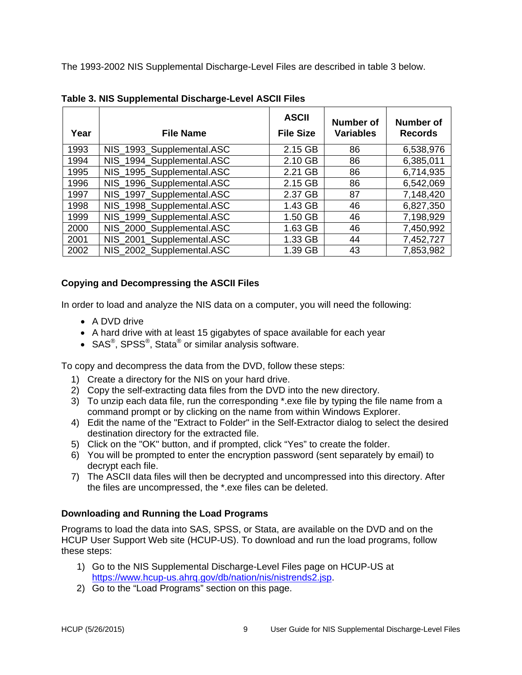The 1993-2002 NIS Supplemental Discharge-Level Files are described in table 3 below.

| Year | <b>File Name</b>          | <b>ASCII</b><br><b>File Size</b> | Number of<br><b>Variables</b> | <b>Number of</b><br><b>Records</b> |
|------|---------------------------|----------------------------------|-------------------------------|------------------------------------|
| 1993 | NIS_1993_Supplemental.ASC | 2.15 GB                          | 86                            | 6,538,976                          |
| 1994 | NIS 1994 Supplemental.ASC | 2.10 GB                          | 86                            | 6,385,011                          |
| 1995 | NIS_1995_Supplemental.ASC | 2.21 GB                          | 86                            | 6,714,935                          |
| 1996 | NIS 1996 Supplemental.ASC | 2.15 GB                          | 86                            | 6,542,069                          |
| 1997 | NIS_1997_Supplemental.ASC | 2.37 GB                          | 87                            | 7,148,420                          |
| 1998 | NIS_1998_Supplemental.ASC | 1.43 GB                          | 46                            | 6,827,350                          |
| 1999 | NIS_1999_Supplemental.ASC | 1.50 GB                          | 46                            | 7,198,929                          |
| 2000 | NIS_2000_Supplemental.ASC | 1.63 GB                          | 46                            | 7,450,992                          |
| 2001 | NIS 2001 Supplemental.ASC | 1.33 GB                          | 44                            | 7,452,727                          |
| 2002 | NIS_2002_Supplemental.ASC | 1.39 GB                          | 43                            | 7,853,982                          |

<span id="page-10-1"></span>**Table 3. NIS Supplemental Discharge-Level ASCII Files** 

## **Copying and Decompressing the ASCII Files**

In order to load and analyze the NIS data on a computer, you will need the following:

- A DVD drive
- A hard drive with at least 15 gigabytes of space available for each year
- SAS<sup>®</sup>, SPSS<sup>®</sup>, Stata<sup>®</sup> or similar analysis software.

To copy and decompress the data from the DVD, follow these steps:

- 1) Create a directory for the NIS on your hard drive.
- 2) Copy the self-extracting data files from the DVD into the new directory.
- 3) To unzip each data file, run the corresponding \*.exe file by typing the file name from a command prompt or by clicking on the name from within Windows Explorer.
- 4) Edit the name of the "Extract to Folder" in the Self-Extractor dialog to select the desired destination directory for the extracted file.
- 5) Click on the "OK" button, and if prompted, click "Yes" to create the folder.
- 6) You will be prompted to enter the encryption password (sent separately by email) to decrypt each file.
- 7) The ASCII data files will then be decrypted and uncompressed into this directory. After the files are uncompressed, the \*.exe files can be deleted.

## <span id="page-10-0"></span>**Downloading and Running the Load Programs**

Programs to load the data into SAS, SPSS, or Stata, are available on the DVD and on the HCUP User Support Web site (HCUP-US). To download and run the load programs, follow these steps:

- 1) Go to the NIS Supplemental Discharge-Level Files page on HCUP-US at [https://www.hcup-us.ahrq.gov/db/nation/nis/nistrends2.jsp.](https://www.hcup-us.ahrq.gov/db/nation/nis/nistrends2.jsp)
- 2) Go to the "Load Programs" section on this page.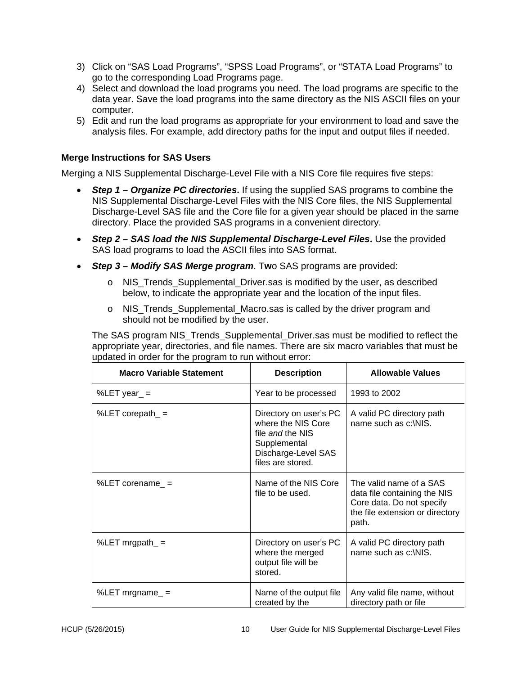- 3) Click on "SAS Load Programs", "SPSS Load Programs", or "STATA Load Programs" to go to the corresponding Load Programs page.
- 4) Select and download the load programs you need. The load programs are specific to the data year. Save the load programs into the same directory as the NIS ASCII files on your computer.
- 5) Edit and run the load programs as appropriate for your environment to load and save the analysis files. For example, add directory paths for the input and output files if needed.

## <span id="page-11-0"></span>**Merge Instructions for SAS Users**

<span id="page-11-1"></span>Merging a NIS Supplemental Discharge-Level File with a NIS Core file requires five steps:

- *Step 1 – Organize PC directories***.** If using the supplied SAS programs to combine the NIS Supplemental Discharge-Level Files with the NIS Core files, the NIS Supplemental Discharge-Level SAS file and the Core file for a given year should be placed in the same directory. Place the provided SAS programs in a convenient directory.
- <span id="page-11-2"></span>• *Step 2 – SAS load the NIS Supplemental Discharge-Level Files***.** Use the provided SAS load programs to load the ASCII files into SAS format.
- <span id="page-11-3"></span>• *Step 3 – Modify SAS Merge program*. T**w**o SAS programs are provided:
	- $\circ$  NIS Trends Supplemental Driver.sas is modified by the user, as described below, to indicate the appropriate year and the location of the input files.
	- o NIS\_Trends\_Supplemental\_Macro.sas is called by the driver program and should not be modified by the user.

The SAS program NIS\_Trends\_Supplemental\_Driver.sas must be modified to reflect the appropriate year, directories, and file names. There are six macro variables that must be updated in order for the program to run without error:

| <b>Macro Variable Statement</b> | <b>Description</b>                                                                                                           | <b>Allowable Values</b>                                                                                                          |
|---------------------------------|------------------------------------------------------------------------------------------------------------------------------|----------------------------------------------------------------------------------------------------------------------------------|
| %LET year_ $=$                  | Year to be processed                                                                                                         | 1993 to 2002                                                                                                                     |
| %LET corepath_ $=$              | Directory on user's PC<br>where the NIS Core<br>file and the NIS<br>Supplemental<br>Discharge-Level SAS<br>files are stored. | A valid PC directory path<br>name such as c:\NIS.                                                                                |
| %LET corename_ $=$              | Name of the NIS Core<br>file to be used.                                                                                     | The valid name of a SAS<br>data file containing the NIS<br>Core data. Do not specify<br>the file extension or directory<br>path. |
| %LET mrgpath_ $=$               | Directory on user's PC<br>where the merged<br>output file will be<br>stored.                                                 | A valid PC directory path<br>name such as c:\NIS.                                                                                |
| %LET mrgname $=$                | Name of the output file<br>created by the                                                                                    | Any valid file name, without<br>directory path or file                                                                           |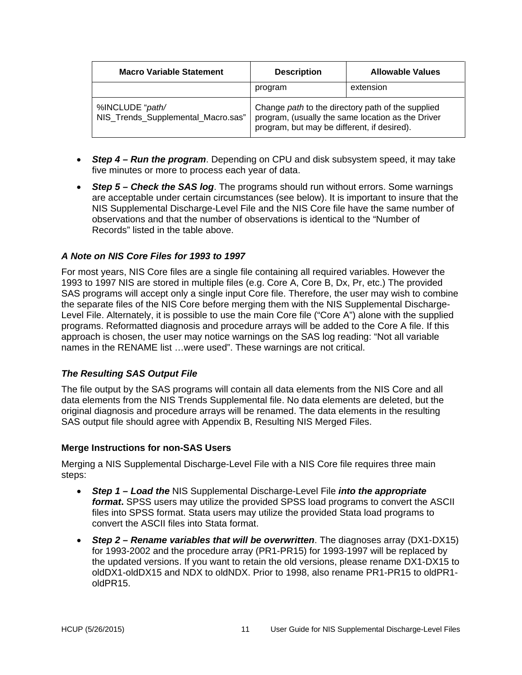| <b>Macro Variable Statement</b>                       | <b>Description</b>                                                                                                                                    | <b>Allowable Values</b> |  |  |  |
|-------------------------------------------------------|-------------------------------------------------------------------------------------------------------------------------------------------------------|-------------------------|--|--|--|
|                                                       | program                                                                                                                                               | extension               |  |  |  |
| %INCLUDE "path/<br>NIS_Trends_Supplemental_Macro.sas" | Change path to the directory path of the supplied<br>program, (usually the same location as the Driver<br>program, but may be different, if desired). |                         |  |  |  |

- <span id="page-12-0"></span>• *Step 4 – Run the program*. Depending on CPU and disk subsystem speed, it may take five minutes or more to process each year of data.
- <span id="page-12-1"></span>• *Step 5 – Check the SAS log*. The programs should run without errors. Some warnings are acceptable under certain circumstances (see below). It is important to insure that the NIS Supplemental Discharge-Level File and the NIS Core file have the same number of observations and that the number of observations is identical to the "Number of Records" listed in the table above.

### <span id="page-12-2"></span>*A Note on NIS Core Files for 1993 to 1997*

For most years, NIS Core files are a single file containing all required variables. However the 1993 to 1997 NIS are stored in multiple files (e.g. Core A, Core B, Dx, Pr, etc.) The provided SAS programs will accept only a single input Core file. Therefore, the user may wish to combine the separate files of the NIS Core before merging them with the NIS Supplemental Discharge-Level File. Alternately, it is possible to use the main Core file ("Core A") alone with the supplied programs. Reformatted diagnosis and procedure arrays will be added to the Core A file. If this approach is chosen, the user may notice warnings on the SAS log reading: "Not all variable names in the RENAME list …were used". These warnings are not critical.

#### <span id="page-12-3"></span>*The Resulting SAS Output File*

The file output by the SAS programs will contain all data elements from the NIS Core and all data elements from the NIS Trends Supplemental file. No data elements are deleted, but the original diagnosis and procedure arrays will be renamed. The data elements in the resulting SAS output file should agree with Appendix B, Resulting NIS Merged Files.

#### <span id="page-12-4"></span>**Merge Instructions for non-SAS Users**

Merging a NIS Supplemental Discharge-Level File with a NIS Core file requires three main steps:

- <span id="page-12-5"></span>• *Step 1 – Load the* NIS Supplemental Discharge-Level File *into the appropriate format***.** SPSS users may utilize the provided SPSS load programs to convert the ASCII files into SPSS format. Stata users may utilize the provided Stata load programs to convert the ASCII files into Stata format.
- <span id="page-12-6"></span>• *Step 2 – Rename variables that will be overwritten*. The diagnoses array (DX1-DX15) for 1993-2002 and the procedure array (PR1-PR15) for 1993-1997 will be replaced by the updated versions. If you want to retain the old versions, please rename DX1-DX15 to oldDX1-oldDX15 and NDX to oldNDX. Prior to 1998, also rename PR1-PR15 to oldPR1 oldPR15.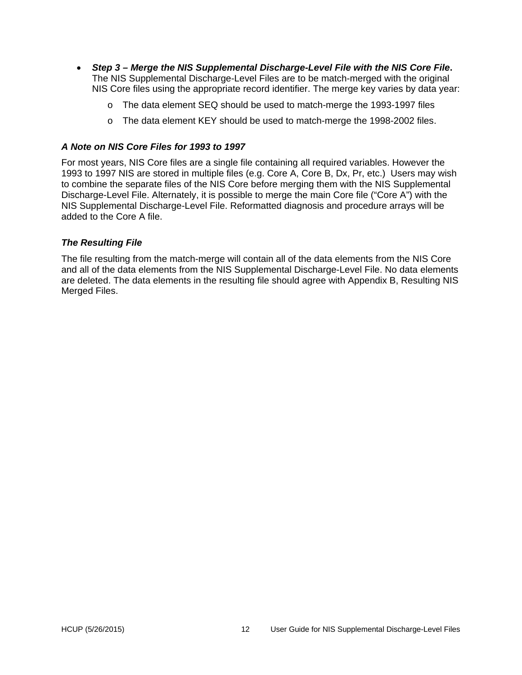- <span id="page-13-0"></span>• *Step 3 – Merge the NIS Supplemental Discharge-Level File with the NIS Core File***.** The NIS Supplemental Discharge-Level Files are to be match-merged with the original NIS Core files using the appropriate record identifier. The merge key varies by data year:
	- o The data element SEQ should be used to match-merge the 1993-1997 files
	- o The data element KEY should be used to match-merge the 1998-2002 files.

### <span id="page-13-1"></span>*A Note on NIS Core Files for 1993 to 1997*

For most years, NIS Core files are a single file containing all required variables. However the 1993 to 1997 NIS are stored in multiple files (e.g. Core A, Core B, Dx, Pr, etc.) Users may wish to combine the separate files of the NIS Core before merging them with the NIS Supplemental Discharge-Level File. Alternately, it is possible to merge the main Core file ("Core A") with the NIS Supplemental Discharge-Level File. Reformatted diagnosis and procedure arrays will be added to the Core A file.

### <span id="page-13-2"></span>*The Resulting File*

The file resulting from the match-merge will contain all of the data elements from the NIS Core and all of the data elements from the NIS Supplemental Discharge-Level File. No data elements are deleted. The data elements in the resulting file should agree with Appendix B, Resulting NIS Merged Files.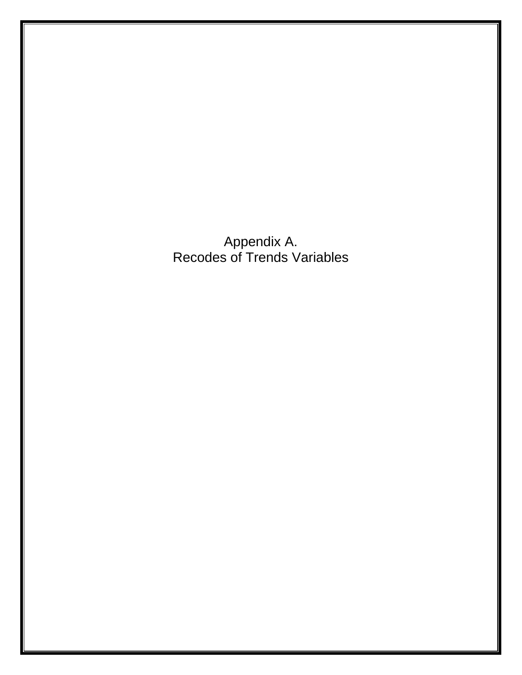Appendix A. Recodes of Trends Variables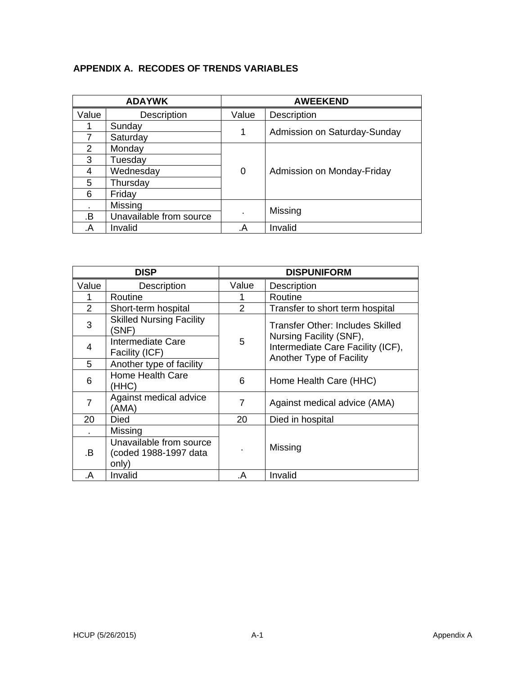# <span id="page-15-0"></span>**APPENDIX A. RECODES OF TRENDS VARIABLES**

|       | <b>ADAYWK</b>           |       | <b>AWEEKEND</b>              |  |  |  |  |  |  |                            |
|-------|-------------------------|-------|------------------------------|--|--|--|--|--|--|----------------------------|
| Value | Description             | Value | Description                  |  |  |  |  |  |  |                            |
|       | Sunday                  | 1     | Admission on Saturday-Sunday |  |  |  |  |  |  |                            |
| 7     | Saturday                |       |                              |  |  |  |  |  |  |                            |
| 2     | Monday                  |       |                              |  |  |  |  |  |  |                            |
| 3     | Tuesday                 |       |                              |  |  |  |  |  |  |                            |
| 4     | Wednesday               | 0     |                              |  |  |  |  |  |  | Admission on Monday-Friday |
| 5     | Thursday                |       |                              |  |  |  |  |  |  |                            |
| 6     | Friday                  |       |                              |  |  |  |  |  |  |                            |
|       | Missing                 |       |                              |  |  |  |  |  |  |                            |
| .B    | Unavailable from source |       | Missing                      |  |  |  |  |  |  |                            |
| .A    | Invalid                 | .A    | Invalid                      |  |  |  |  |  |  |                            |

|                | <b>DISP</b>                                               |       | <b>DISPUNIFORM</b>                                                                       |
|----------------|-----------------------------------------------------------|-------|------------------------------------------------------------------------------------------|
| Value          | Description                                               | Value | Description                                                                              |
|                | Routine                                                   |       | Routine                                                                                  |
| $\overline{2}$ | Short-term hospital                                       | 2     | Transfer to short term hospital                                                          |
| 3              | <b>Skilled Nursing Facility</b><br>(SNF)                  |       | Transfer Other: Includes Skilled                                                         |
| 4              | Intermediate Care<br>Facility (ICF)                       | 5     | Nursing Facility (SNF),<br>Intermediate Care Facility (ICF),<br>Another Type of Facility |
| 5              | Another type of facility                                  |       |                                                                                          |
| 6              | <b>Home Health Care</b><br>(HHC)                          | 6     | Home Health Care (HHC)                                                                   |
| 7              | Against medical advice<br>(AMA)                           | 7     | Against medical advice (AMA)                                                             |
| 20             | Died                                                      | 20    | Died in hospital                                                                         |
|                | Missing                                                   |       |                                                                                          |
| .B             | Unavailable from source<br>(coded 1988-1997 data<br>only) |       | Missing                                                                                  |
| .A             | Invalid                                                   | .A    | Invalid                                                                                  |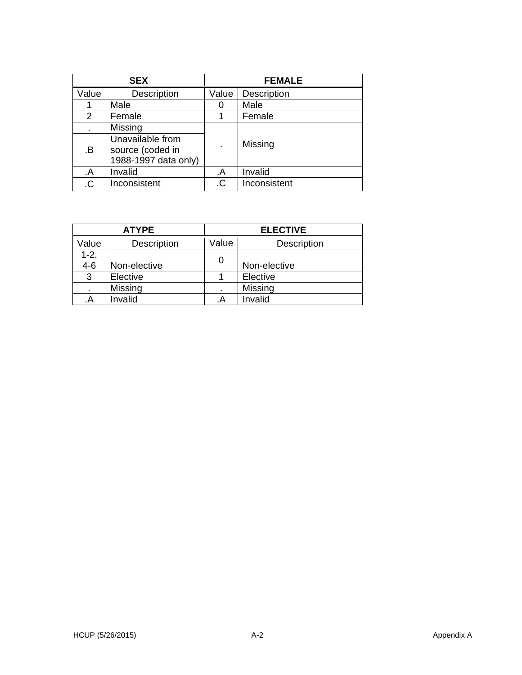|       | <b>SEX</b>           | <b>FEMALE</b> |                    |  |  |  |
|-------|----------------------|---------------|--------------------|--|--|--|
| Value | Description          | Value         | <b>Description</b> |  |  |  |
|       | Male                 | 0             | Male               |  |  |  |
| 2     | Female               |               | Female             |  |  |  |
|       | Missing              |               |                    |  |  |  |
| .B    | Unavailable from     |               | Missing            |  |  |  |
|       | source (coded in     |               |                    |  |  |  |
|       | 1988-1997 data only) |               |                    |  |  |  |
| .A    | Invalid              | .A            | Invalid            |  |  |  |
| .C    | Inconsistent         | .C            | Inconsistent       |  |  |  |

|                   | <b>ATYPE</b> | <b>ELECTIVE</b> |              |  |  |  |  |
|-------------------|--------------|-----------------|--------------|--|--|--|--|
| Value             | Description  | Value           | Description  |  |  |  |  |
| $1 - 2,$<br>$4-6$ | Non-elective | 0               | Non-elective |  |  |  |  |
| 3                 | Elective     |                 | Elective     |  |  |  |  |
| $\blacksquare$    | Missing      | ٠               | Missing      |  |  |  |  |
| .A                | Invalid      | .А              | Invalid      |  |  |  |  |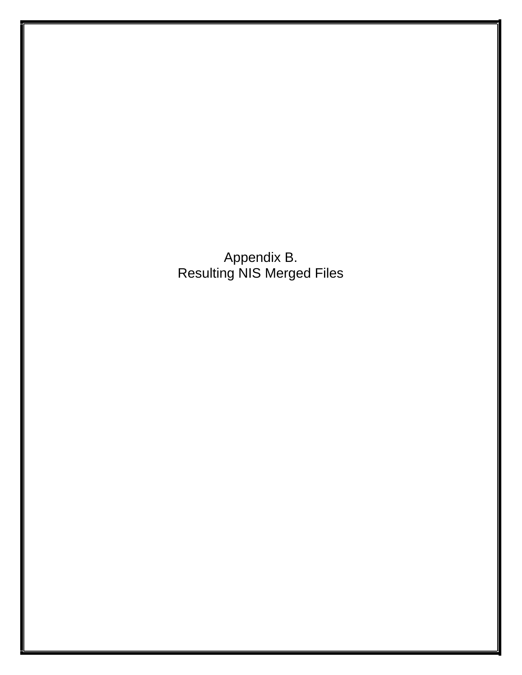Appendix B. Resulting NIS Merged Files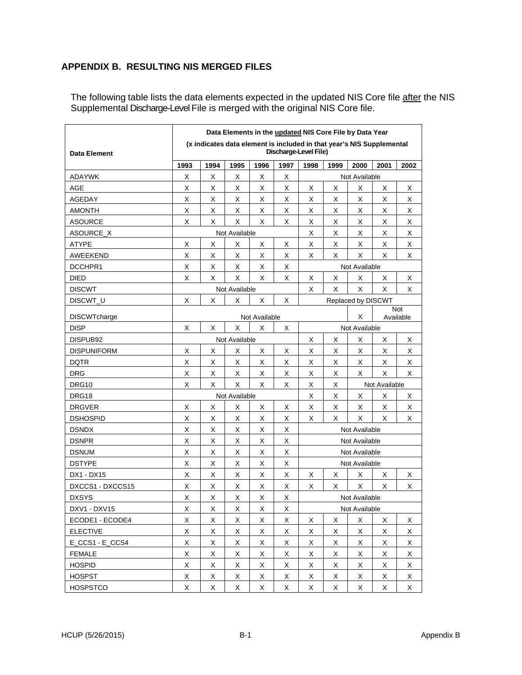## <span id="page-18-0"></span>**APPENDIX B. RESULTING NIS MERGED FILES**

The following table lists the data elements expected in the updated NIS Core file <u>after</u> the NIS Supplemental Discharge-Level File is merged with the original NIS Core file.

|                     | Data Elements in the updated NIS Core File by Data Year<br>(x indicates data element is included in that year's NIS Supplemental |      |               |                         |             |                       |               |                              |      |      |  |
|---------------------|----------------------------------------------------------------------------------------------------------------------------------|------|---------------|-------------------------|-------------|-----------------------|---------------|------------------------------|------|------|--|
| Data Element        | Discharge-Level File)                                                                                                            |      |               |                         |             |                       |               |                              |      |      |  |
|                     | 1993                                                                                                                             | 1994 | 1995          | 1996                    | 1997        | 1998                  | 1999          | 2000                         | 2001 | 2002 |  |
| ADAYWK              | X                                                                                                                                | х    | X             | X                       | X           | Not Available         |               |                              |      |      |  |
| AGE                 | X                                                                                                                                | X    | Χ             | х                       | Х           | Х                     | Χ             | X                            | х    | х    |  |
| AGEDAY              | X                                                                                                                                | X    | X             | X                       | Х           | X                     | х             | X                            | X    | X    |  |
| <b>AMONTH</b>       | X                                                                                                                                | X    | X             | Χ                       | X           | X                     | Χ             | X                            | X    | Χ    |  |
| <b>ASOURCE</b>      | Х                                                                                                                                | X    | X             | X                       | х           | X                     | х             | Χ                            | X    | X    |  |
| ASOURCE_X           | Not Available                                                                                                                    |      |               |                         |             |                       | X             | Χ                            | X    | X    |  |
| ATYPE               | х                                                                                                                                | X    | Χ             | X                       | X           | X                     | х             | Χ                            | X    | X    |  |
| AWEEKEND            | х                                                                                                                                | X    | Χ             | Х                       | Х           | Х                     | х             | Χ                            | X    | X    |  |
| DCCHPR1             | X                                                                                                                                | X    | X             | X                       | X           |                       |               | Not Available                |      |      |  |
| DIED                | X                                                                                                                                | X    | X             | X                       | X           | х                     | х             | Χ                            | х    | х    |  |
| <b>DISCWT</b>       |                                                                                                                                  |      | Not Available |                         |             | X                     | X             | X                            | X    | X    |  |
| DISCWT_U            | X                                                                                                                                | X    | X             | X                       | X           |                       |               | Replaced by DISCWT           |      |      |  |
| <b>DISCWTcharge</b> | Not Available                                                                                                                    |      |               |                         |             |                       |               | <b>Not</b><br>Χ<br>Available |      |      |  |
| <b>DISP</b>         | $\mathsf X$<br>Χ<br>X<br>X<br>Х                                                                                                  |      |               |                         |             |                       | Not Available |                              |      |      |  |
| DISPUB92            |                                                                                                                                  |      | Not Available |                         |             | Х<br>х                |               | Χ                            | X    | Х    |  |
| <b>DISPUNIFORM</b>  | X                                                                                                                                | X    | х             | Х                       | Х           | X                     | Х             | X                            | X    | Х    |  |
| DQTR                | X                                                                                                                                | X    | X             | X                       | X           | х                     | х             | Χ                            | X    | X    |  |
| DRG                 | X                                                                                                                                | X    | Χ             | Х                       | Х           | X                     | х             | X                            | X    | X    |  |
| DRG10               | X                                                                                                                                | X    | X             | X                       | X           | X<br>Χ                |               | Not Available                |      |      |  |
| DRG18               | Not Available                                                                                                                    |      |               |                         |             | X                     | х             | Х                            | X    | Х    |  |
| <b>DRGVER</b>       | X                                                                                                                                | X    | х             | х                       | X           | X<br>X<br>X<br>Х<br>X |               |                              |      |      |  |
| <b>DSHOSPID</b>     | X                                                                                                                                | X    | Χ             | Х                       | X           | X                     | X             | X                            | X    | X    |  |
| <b>DSNDX</b>        | X                                                                                                                                | X    | X             | х                       | X           | Not Available         |               |                              |      |      |  |
| <b>DSNPR</b>        | X                                                                                                                                | X    | Χ             | X                       | Х           | Not Available         |               |                              |      |      |  |
| <b>DSNUM</b>        | X                                                                                                                                | х    | Х             | X                       | X           | Not Available         |               |                              |      |      |  |
| <b>DSTYPE</b>       | X                                                                                                                                | х    | Χ             | Χ                       | х           |                       | Not Available |                              |      |      |  |
| DX1 - DX15          | X                                                                                                                                | X    | Х             | X                       | X           | X                     | х             | X                            | X    | х    |  |
| DXCCS1 - DXCCS15    | X                                                                                                                                | Χ    | X             | Χ                       | X           | X                     | X             | X                            | X    | X    |  |
| <b>DXSYS</b>        | х                                                                                                                                | х    | Χ             | Χ                       | X           |                       |               | Not Available                |      |      |  |
| DXV1 - DXV15        | X                                                                                                                                | X    | $\sf X$       | $\overline{\mathsf{X}}$ | $\mathsf X$ | Not Available         |               |                              |      |      |  |
| ECODE1 - ECODE4     | X                                                                                                                                | X    | X             | X                       | X           | X                     | х             | X                            | X    | X    |  |
| <b>ELECTIVE</b>     | Χ                                                                                                                                | X    | X             | X                       | X           | X                     | X             | X                            | X    | X    |  |
| E CCS1 - E CCS4     | $\mathsf X$                                                                                                                      | X    | X             | Χ                       | X           | Χ                     | X             | X                            | X    | X    |  |
| <b>FEMALE</b>       | X                                                                                                                                | X    | X             | Χ                       | X           | X                     | X             | X                            | X    | X    |  |
| <b>HOSPID</b>       | X                                                                                                                                | X    | X             | X                       | X           | X                     | Χ             | X                            | X    | X    |  |
| <b>HOSPST</b>       | X                                                                                                                                | X    | X             | X                       | X           | X                     | X             | X                            | X    | X    |  |
| <b>HOSPSTCO</b>     | X                                                                                                                                | X    | X             | X                       | X           | Χ                     | X             | X                            | X    | X    |  |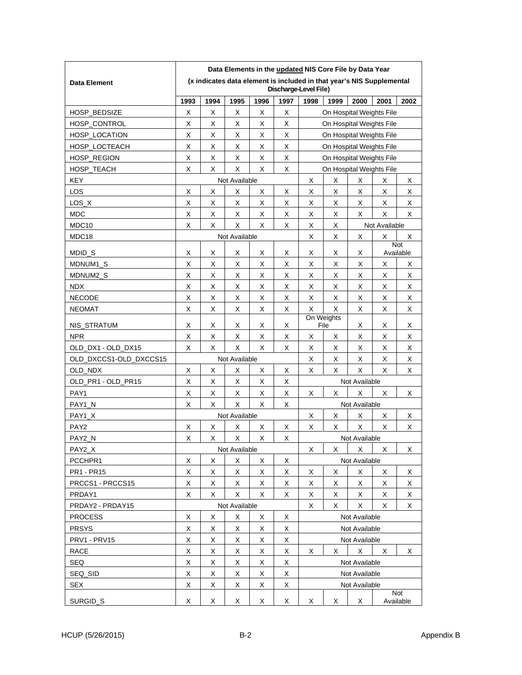|                        | Data Elements in the updated NIS Core File by Data Year                                        |               |               |      |                       |                                 |                              |               |                  |      |  |
|------------------------|------------------------------------------------------------------------------------------------|---------------|---------------|------|-----------------------|---------------------------------|------------------------------|---------------|------------------|------|--|
| <b>Data Element</b>    | (x indicates data element is included in that year's NIS Supplemental<br>Discharge-Level File) |               |               |      |                       |                                 |                              |               |                  |      |  |
|                        | 1993                                                                                           | 1994          | 1995          | 1996 | 1997                  | 1998                            | 1999                         | 2000          | 2001             | 2002 |  |
| <b>HOSP BEDSIZE</b>    | X                                                                                              | X             | X             | X    | X                     | On Hospital Weights File        |                              |               |                  |      |  |
| <b>HOSP CONTROL</b>    | X                                                                                              | X             | Х             | Х    | Х                     | On Hospital Weights File        |                              |               |                  |      |  |
| HOSP_LOCATION          | X                                                                                              | X             | Х             | Х    | Х                     |                                 | On Hospital Weights File     |               |                  |      |  |
| HOSP LOCTEACH          | X                                                                                              | X             | Χ             | X    | X                     | On Hospital Weights File        |                              |               |                  |      |  |
| HOSP_REGION            | X                                                                                              | X             | X             | X    | X                     |                                 | On Hospital Weights File     |               |                  |      |  |
| HOSP TEACH             | X<br>X<br>X<br>X<br>X<br>On Hospital Weights File                                              |               |               |      |                       |                                 |                              |               |                  |      |  |
| <b>KEY</b>             |                                                                                                |               | Not Available |      |                       | Х                               | X                            | Χ             | X                | X    |  |
| LOS                    | X                                                                                              | х             | Χ             | X    | Х                     | Х                               | X                            | Χ             | х                | х    |  |
| LOS X                  | X                                                                                              | х             | Х             | Х    | Х                     | Х                               | X                            | Χ             | Х                | X    |  |
| <b>MDC</b>             | X                                                                                              | Χ             | х             | х    | X                     | х                               | X                            | X             | X                | X    |  |
| MDC <sub>10</sub>      | X                                                                                              | X             | х             | X    | X                     | X                               | X                            |               | Not Available    |      |  |
| MDC18                  |                                                                                                |               | Not Available |      |                       | X                               | X                            | Χ             | Χ                | Х    |  |
| MDID_S                 | X                                                                                              | х             | Χ             | X    | Х                     | X<br>X<br>Χ                     |                              |               | Not<br>Available |      |  |
| MDNUM1_S               | X                                                                                              | X             | X             | X    | Х                     | X                               | X                            | X             | Χ                | х    |  |
| MDNUM2 S               | X                                                                                              | X             | х             | х    | х                     | х                               | X                            | х             | х                | х    |  |
| <b>NDX</b>             | X                                                                                              | X             | X             | X    | X                     | X                               | Х                            | X             | X                | X    |  |
| <b>NECODE</b>          | X                                                                                              | X             | Х             | X    | Х                     | Х                               | X                            | X             | Х                | X    |  |
| <b>NEOMAT</b>          | X                                                                                              | х             | Χ             | Х    | Х                     | X                               | X                            | Χ             | Х                | х    |  |
| NIS_STRATUM            | X                                                                                              | х             | X             | х    | Х                     |                                 | On Weights<br>File<br>Χ<br>X |               |                  | х    |  |
| <b>NPR</b>             | X                                                                                              | X             | х             | X    | X                     | х                               | X                            | Χ             | X                | X    |  |
| OLD_DX1 - OLD_DX15     | X                                                                                              | X             | X             | X    | X                     | X                               | X                            | X             | X                | X    |  |
| OLD_DXCCS1-OLD_DXCCS15 |                                                                                                |               | Not Available |      |                       | Х                               | X                            | Χ             | Х                | X    |  |
| OLD NDX                | X                                                                                              | х             | х             | X    | х                     | Х                               | X                            | X             | X                | х    |  |
| OLD PR1 - OLD PR15     | X                                                                                              | X             | Χ             | Χ    | X                     | Not Available                   |                              |               |                  |      |  |
| PAY1                   | X                                                                                              | X             | х             | х    | Х                     | X<br>X<br>х<br>х                |                              |               |                  | х    |  |
| PAY1 N                 | X                                                                                              | X             | X             | X    | X                     | Not Available                   |                              |               |                  |      |  |
| PAY1 X                 |                                                                                                |               | Not Available |      |                       | х<br>Χ<br>Χ<br>X                |                              |               | х                |      |  |
| PAY <sub>2</sub>       | X                                                                                              | Χ             | х             | х    | х                     | X                               | X                            | X             | X                | X    |  |
| PAY2_N                 | X                                                                                              | X             | Х             | X    | х                     | Not Available                   |                              |               |                  |      |  |
| PAY2_X                 |                                                                                                | Not Available |               |      | X<br>X<br>X<br>X<br>х |                                 |                              |               |                  |      |  |
| PCCHPR1                | X                                                                                              | X             | X             | X    | X                     | Not Available                   |                              |               |                  |      |  |
| PR1 - PR15             | X                                                                                              | X             | X             | X    | X                     | X                               | х                            | X             | X                | X    |  |
| PRCCS1 - PRCCS15       | Χ                                                                                              | X             | X             | X    | X                     | X                               | X                            | X             | X                | X    |  |
| PRDAY1                 | X                                                                                              | X             | X             | X    | X                     | X                               | X                            | X             | Χ                | X    |  |
| PRDAY2 - PRDAY15       |                                                                                                |               | Not Available |      |                       | X                               | X                            | X             | X                | X    |  |
| <b>PROCESS</b>         | X                                                                                              | X             | Χ             | Χ    | X                     |                                 |                              | Not Available |                  |      |  |
| <b>PRSYS</b>           | X                                                                                              | X             | X             | X    | X                     | Not Available                   |                              |               |                  |      |  |
| PRV1 - PRV15           | Χ                                                                                              | Χ             | X             | Χ    | X                     | Not Available                   |                              |               |                  |      |  |
| <b>RACE</b>            | X                                                                                              | X             | X             | X    | X                     | X                               | X                            | X             | Χ                | X    |  |
| <b>SEQ</b>             | Χ                                                                                              | X             | X             | X    | X                     |                                 |                              | Not Available |                  |      |  |
| SEQ_SID                | Χ                                                                                              | X             | X             | X    | X                     |                                 |                              | Not Available |                  |      |  |
| <b>SEX</b>             | X                                                                                              | X             | X             | X    | X                     |                                 | Not Available                |               |                  |      |  |
| SURGID_S               | X                                                                                              | X             | X             | X    | X                     | Not<br>X<br>X<br>X<br>Available |                              |               |                  |      |  |